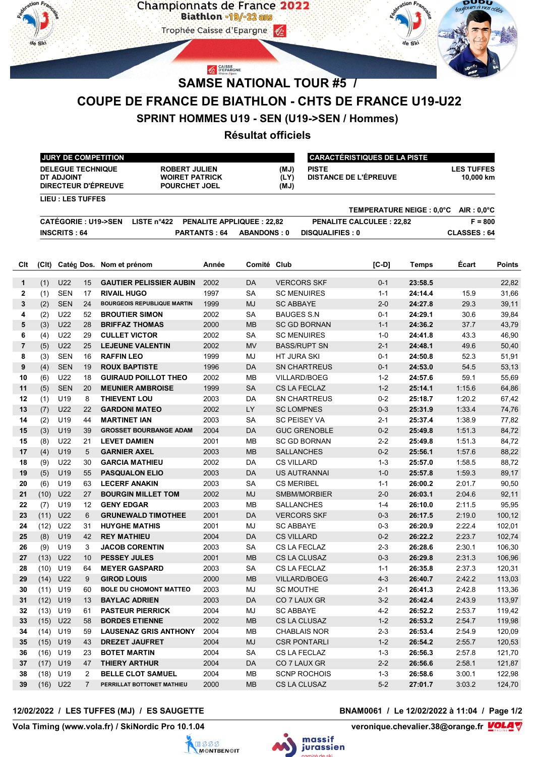

# **SAMSE NATIONAL TOUR #5 /**

# **COUPE DE FRANCE DE BIATHLON - CHTS DE FRANCE U19-U22**

### **SPRINT HOMMES U19 - SEN (U19->SEN / Hommes)**

## **Résultat officiels**

| <b>JURY DE COMPETITION</b>                                           |  |                                                                       | I CARACTÉRISTIQUES DE LA PISTE |                                       |                                |  |  |
|----------------------------------------------------------------------|--|-----------------------------------------------------------------------|--------------------------------|---------------------------------------|--------------------------------|--|--|
| <b>DELEGUE TECHNIQUE</b><br>DT ADJOINT<br><b>DIRECTEUR D'ÉPREUVE</b> |  | <b>ROBERT JULIEN</b><br><b>WOIRET PATRICK</b><br><b>POURCHET JOEL</b> | (MJ)<br>(LY)<br>(MJ)           | <b>PISTE</b><br>DISTANCE DE L'ÉPREUVE | <b>LES TUFFES</b><br>10.000 km |  |  |
| <b>LIEU : LES TUFFES</b>                                             |  |                                                                       |                                |                                       |                                |  |  |
|                                                                      |  |                                                                       |                                | TEMPERATURE NEIGE : 0.0°C             | $AIR: 0.0^{\circ}C$            |  |  |
| <b>CATÉGORIE : U19-&gt;SEN</b><br>LISTE n <sup>°</sup> 422           |  | <b>PENALITE APPLIQUEE: 22.82</b>                                      |                                | <b>PENALITE CALCULEE: 22.82</b>       | $F = 800$                      |  |  |
| <b>INSCRITS: 64</b>                                                  |  | <b>PARTANTS: 64</b>                                                   | ABANDONS: 0                    | <b>DISQUALIFIES: 0</b>                | <b>CLASSES: 64</b>             |  |  |

| Clt            | (C <sub>l</sub> ) |                 |                | Catég Dos. Nom et prénom           | Année | Comité Club |                     | $[C-D]$ | Temps   | Écart  | Points |
|----------------|-------------------|-----------------|----------------|------------------------------------|-------|-------------|---------------------|---------|---------|--------|--------|
| 1              | (1)               | U22             | 15             | <b>GAUTIER PELISSIER AUBIN</b>     | 2002  | <b>DA</b>   | <b>VERCORS SKF</b>  | $0 - 1$ | 23:58.5 |        | 22,82  |
| 2              | (1)               | <b>SEN</b>      | 17             | <b>RIVAIL HUGO</b>                 | 1997  | <b>SA</b>   | <b>SC MENUIRES</b>  | $1 - 1$ | 24:14.4 | 15.9   | 31,66  |
| 3              | (2)               | <b>SEN</b>      | 24             | <b>BOURGEOIS REPUBLIQUE MARTIN</b> | 1999  | <b>MJ</b>   | <b>SC ABBAYE</b>    | $2 - 0$ | 24:27.8 | 29.3   | 39,11  |
| 4              | (2)               | U22             | 52             | <b>BROUTIER SIMON</b>              | 2002  | SA          | <b>BAUGES S.N</b>   | $0 - 1$ | 24:29.1 | 30.6   | 39,84  |
| 5              | (3)               | U22             | 28             | <b>BRIFFAZ THOMAS</b>              | 2000  | <b>MB</b>   | <b>SC GD BORNAN</b> | $1 - 1$ | 24:36.2 | 37.7   | 43,79  |
| 6              | (4)               | U22             | 29             | <b>CULLET VICTOR</b>               | 2002  | <b>SA</b>   | <b>SC MENUIRES</b>  | $1-0$   | 24:41.8 | 43.3   | 46,90  |
| $\overline{7}$ | (5)               | U22             | 25             | <b>LEJEUNE VALENTIN</b>            | 2002  | <b>MV</b>   | <b>BASS/RUPT SN</b> | $2 - 1$ | 24:48.1 | 49.6   | 50,40  |
| 8              | (3)               | <b>SEN</b>      | 16             | <b>RAFFIN LEO</b>                  | 1999  | MJ          | <b>HT JURA SKI</b>  | $0 - 1$ | 24:50.8 | 52.3   | 51,91  |
| 9              | (4)               | <b>SEN</b>      | 19             | <b>ROUX BAPTISTE</b>               | 1996  | DA          | <b>SN CHARTREUS</b> | $0 - 1$ | 24:53.0 | 54.5   | 53,13  |
| 10             | (6)               | U22             | 18             | <b>GUIRAUD POILLOT THEO</b>        | 2002  | MВ          | <b>VILLARD/BOEG</b> | $1 - 2$ | 24:57.6 | 59.1   | 55,69  |
| 11             | (5)               | <b>SEN</b>      | 20             | <b>MEUNIER AMBROISE</b>            | 1999  | <b>SA</b>   | <b>CS LA FECLAZ</b> | $1 - 2$ | 25:14.1 | 1:15.6 | 64,86  |
| $12 \,$        | (1)               | U <sub>19</sub> | 8              | <b>THIEVENT LOU</b>                | 2003  | DA          | <b>SN CHARTREUS</b> | $0 - 2$ | 25:18.7 | 1:20.2 | 67,42  |
| 13             | (7)               | U22             | 22             | <b>GARDONI MATEO</b>               | 2002  | LY          | <b>SC LOMPNES</b>   | $0 - 3$ | 25:31.9 | 1:33.4 | 74,76  |
| 14             | (2)               | U19             | 44             | <b>MARTINET IAN</b>                | 2003  | <b>SA</b>   | <b>SC PEISEY VA</b> | $2 - 1$ | 25:37.4 | 1:38.9 | 77,82  |
| 15             | (3)               | U <sub>19</sub> | 39             | <b>GROSSET BOURBANGE ADAM</b>      | 2004  | <b>DA</b>   | <b>GUC GRENOBLE</b> | $0 - 2$ | 25:49.8 | 1:51.3 | 84,72  |
| 15             | (8)               | U22             | 21             | <b>LEVET DAMIEN</b>                | 2001  | MB          | <b>SC GD BORNAN</b> | $2 - 2$ | 25:49.8 | 1:51.3 | 84,72  |
| 17             | (4)               | U19             | 5              | <b>GARNIER AXEL</b>                | 2003  | MB          | <b>SALLANCHES</b>   | $0 - 2$ | 25:56.1 | 1:57.6 | 88,22  |
| 18             | (9)               | U22             | 30             | <b>GARCIA MATHIEU</b>              | 2002  | DA          | <b>CS VILLARD</b>   | $1 - 3$ | 25:57.0 | 1:58.5 | 88,72  |
| 19             | (5)               | U19             | 55             | <b>PASQUALON ELIO</b>              | 2003  | <b>DA</b>   | <b>US AUTRANNAI</b> | $1-0$   | 25:57.8 | 1:59.3 | 89,17  |
| 20             | (6)               | U19             | 63             | <b>LECERF ANAKIN</b>               | 2003  | <b>SA</b>   | <b>CS MERIBEL</b>   | $1 - 1$ | 26:00.2 | 2:01.7 | 90,50  |
| 21             | (10)              | U22             | 27             | <b>BOURGIN MILLET TOM</b>          | 2002  | <b>MJ</b>   | SMBM/MORBIER        | $2 - 0$ | 26:03.1 | 2:04.6 | 92,11  |
| 22             | (7)               | U19             | 12             | <b>GENY EDGAR</b>                  | 2003  | <b>MB</b>   | <b>SALLANCHES</b>   | $1 - 4$ | 26:10.0 | 2:11.5 | 95,95  |
| 23             | (11)              | U22             | 6              | <b>GRUNEWALD TIMOTHEE</b>          | 2001  | DA          | <b>VERCORS SKF</b>  | $0 - 3$ | 26:17.5 | 2:19.0 | 100,12 |
| 24             | (12)              | U22             | 31             | <b>HUYGHE MATHIS</b>               | 2001  | MJ          | <b>SC ABBAYE</b>    | $0 - 3$ | 26:20.9 | 2:22.4 | 102,01 |
| 25             | (8)               | U19             | 42             | <b>REY MATHIEU</b>                 | 2004  | DA          | <b>CS VILLARD</b>   | $0 - 2$ | 26:22.2 | 2:23.7 | 102,74 |
| 26             | (9)               | U19             | 3              | <b>JACOB CORENTIN</b>              | 2003  | <b>SA</b>   | CS LA FECLAZ        | $2 - 3$ | 26:28.6 | 2:30.1 | 106,30 |
| 27             | (13)              | U22             | 10             | <b>PESSEY JULES</b>                | 2001  | <b>MB</b>   | <b>CS LA CLUSAZ</b> | $0 - 3$ | 26:29.8 | 2:31.3 | 106,96 |
| 28             | (10)              | U19             | 64             | <b>MEYER GASPARD</b>               | 2003  | <b>SA</b>   | <b>CS LA FECLAZ</b> | $1 - 1$ | 26:35.8 | 2:37.3 | 120,31 |
| 29             | (14)              | U22             | 9              | <b>GIROD LOUIS</b>                 | 2000  | <b>MB</b>   | <b>VILLARD/BOEG</b> | $4 - 3$ | 26:40.7 | 2:42.2 | 113,03 |
| 30             | (11)              | U19             | 60             | <b>BOLE DU CHOMONT MATTEO</b>      | 2003  | MJ          | <b>SC MOUTHE</b>    | $2 - 1$ | 26:41.3 | 2:42.8 | 113,36 |
| 31             | (12)              | U19             | 13             | <b>BAYLAC ADRIEN</b>               | 2003  | DA          | CO 7 LAUX GR        | $3 - 2$ | 26:42.4 | 2:43.9 | 113,97 |
| 32             | (13)              | U19             | 61             | <b>PASTEUR PIERRICK</b>            | 2004  | MJ          | <b>SC ABBAYE</b>    | $4 - 2$ | 26:52.2 | 2:53.7 | 119,42 |
| 33             | (15)              | U22             | 58             | <b>BORDES ETIENNE</b>              | 2002  | <b>MB</b>   | <b>CS LA CLUSAZ</b> | $1 - 2$ | 26:53.2 | 2:54.7 | 119,98 |
| 34             | (14)              | U <sub>19</sub> | 59             | <b>LAUSENAZ GRIS ANTHONY</b>       | 2004  | MВ          | <b>CHABLAIS NOR</b> | $2 - 3$ | 26:53.4 | 2:54.9 | 120,09 |
| 35             | (15)              | U19             | 43             | <b>DREZET JAUFRET</b>              | 2004  | <b>MJ</b>   | <b>CSR PONTARLI</b> | $1 - 2$ | 26:54.2 | 2:55.7 | 120,53 |
| 36             | (16)              | U19             | 23             | <b>BOTET MARTIN</b>                | 2004  | <b>SA</b>   | CS LA FECLAZ        | $1 - 3$ | 26:56.3 | 2:57.8 | 121,70 |
| 37             | (17)              | U19             | 47             | <b>THIERY ARTHUR</b>               | 2004  | DA          | CO 7 LAUX GR        | $2 - 2$ | 26:56.6 | 2:58.1 | 121,87 |
| 38             | (18)              | U19             | 2              | <b>BELLE CLOT SAMUEL</b>           | 2004  | MВ          | <b>SCNP ROCHOIS</b> | $1 - 3$ | 26:58.6 | 3:00.1 | 122,98 |
| 39             | (16)              | U22             | $\overline{7}$ | PERRILLAT BOTTONET MATHIEU         | 2000  | <b>MB</b>   | <b>CS LA CLUSAZ</b> | $5-2$   | 27:01.7 | 3:03.2 | 124,70 |

**12/02/2022 / LES TUFFES (MJ) / ES SAUGETTE BNAM0061 / Le 12/02/2022 à 11:04 / Page 1/2**

Vola Timing (www.vola.fr) / SkiNordic Pro 10.1.04





veronique.chevalier.38@orange.fr **VOLA**